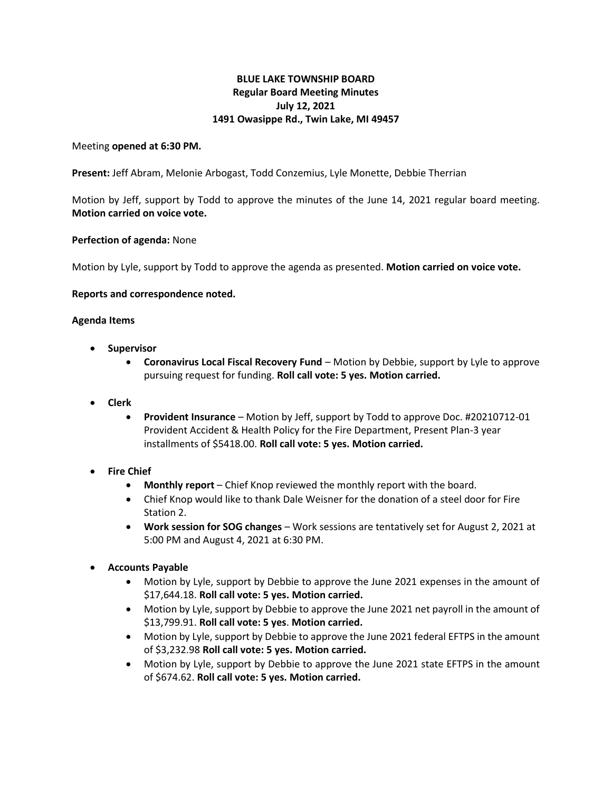# **BLUE LAKE TOWNSHIP BOARD Regular Board Meeting Minutes July 12, 2021 1491 Owasippe Rd., Twin Lake, MI 49457**

### Meeting **opened at 6:30 PM.**

**Present:** Jeff Abram, Melonie Arbogast, Todd Conzemius, Lyle Monette, Debbie Therrian

Motion by Jeff, support by Todd to approve the minutes of the June 14, 2021 regular board meeting. **Motion carried on voice vote.**

#### **Perfection of agenda:** None

Motion by Lyle, support by Todd to approve the agenda as presented. **Motion carried on voice vote.**

#### **Reports and correspondence noted.**

#### **Agenda Items**

- **Supervisor**
	- **Coronavirus Local Fiscal Recovery Fund** Motion by Debbie, support by Lyle to approve pursuing request for funding. **Roll call vote: 5 yes. Motion carried.**
- **Clerk**
	- **Provident Insurance**  Motion by Jeff, support by Todd to approve Doc. #20210712-01 Provident Accident & Health Policy for the Fire Department, Present Plan-3 year installments of \$5418.00. **Roll call vote: 5 yes. Motion carried.**

## **Fire Chief**

- **Monthly report**  Chief Knop reviewed the monthly report with the board.
- Chief Knop would like to thank Dale Weisner for the donation of a steel door for Fire Station 2.
- **Work session for SOG changes**  Work sessions are tentatively set for August 2, 2021 at 5:00 PM and August 4, 2021 at 6:30 PM.

## • **Accounts Payable**

- Motion by Lyle, support by Debbie to approve the June 2021 expenses in the amount of \$17,644.18. **Roll call vote: 5 yes. Motion carried.**
- Motion by Lyle, support by Debbie to approve the June 2021 net payroll in the amount of \$13,799.91. **Roll call vote: 5 yes**. **Motion carried.**
- Motion by Lyle, support by Debbie to approve the June 2021 federal EFTPS in the amount of \$3,232.98 **Roll call vote: 5 yes. Motion carried.**
- Motion by Lyle, support by Debbie to approve the June 2021 state EFTPS in the amount of \$674.62. **Roll call vote: 5 yes. Motion carried.**